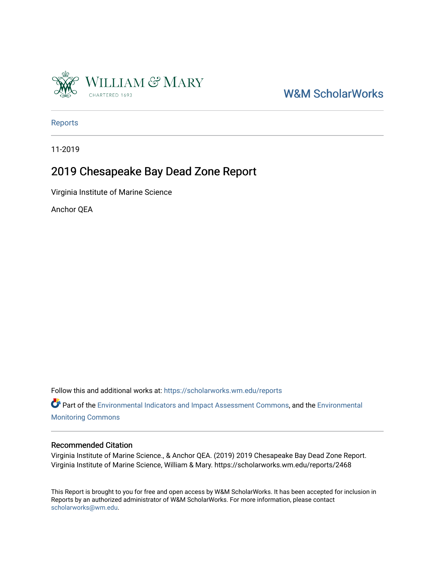

# [W&M ScholarWorks](https://scholarworks.wm.edu/)

[Reports](https://scholarworks.wm.edu/reports)

11-2019

## 2019 Chesapeake Bay Dead Zone Report

Virginia Institute of Marine Science

Anchor QEA

Follow this and additional works at: [https://scholarworks.wm.edu/reports](https://scholarworks.wm.edu/reports?utm_source=scholarworks.wm.edu%2Freports%2F2468&utm_medium=PDF&utm_campaign=PDFCoverPages)

Part of the [Environmental Indicators and Impact Assessment Commons,](http://network.bepress.com/hgg/discipline/1015?utm_source=scholarworks.wm.edu%2Freports%2F2468&utm_medium=PDF&utm_campaign=PDFCoverPages) and the [Environmental](http://network.bepress.com/hgg/discipline/931?utm_source=scholarworks.wm.edu%2Freports%2F2468&utm_medium=PDF&utm_campaign=PDFCoverPages) [Monitoring Commons](http://network.bepress.com/hgg/discipline/931?utm_source=scholarworks.wm.edu%2Freports%2F2468&utm_medium=PDF&utm_campaign=PDFCoverPages) 

#### Recommended Citation

Virginia Institute of Marine Science., & Anchor QEA. (2019) 2019 Chesapeake Bay Dead Zone Report. Virginia Institute of Marine Science, William & Mary. https://scholarworks.wm.edu/reports/2468

This Report is brought to you for free and open access by W&M ScholarWorks. It has been accepted for inclusion in Reports by an authorized administrator of W&M ScholarWorks. For more information, please contact [scholarworks@wm.edu.](mailto:scholarworks@wm.edu)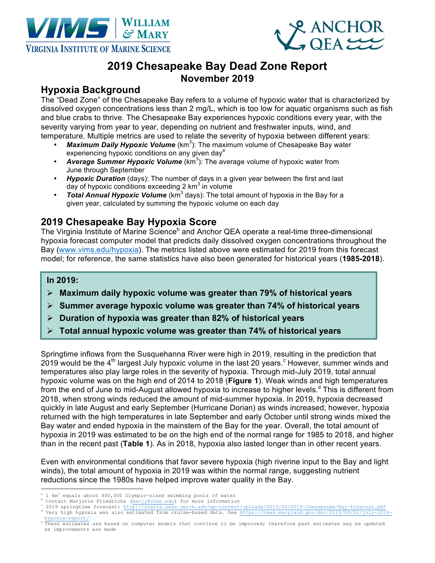



# **2019 Chesapeake Bay Dead Zone Report November 2019**

#### **Hypoxia Background**

The "Dead Zone" of the Chesapeake Bay refers to a volume of hypoxic water that is characterized by dissolved oxygen concentrations less than 2 mg/L, which is too low for aquatic organisms such as fish and blue crabs to thrive. The Chesapeake Bay experiences hypoxic conditions every year, with the severity varying from year to year, depending on nutrient and freshwater inputs, wind, and temperature. Multiple metrics are used to relate the severity of hypoxia between different years:

- Maximum Daily Hypoxic Volume (km<sup>3</sup>): The maximum volume of Chesapeake Bay water experiencing hypoxic conditions on any given day<sup>a</sup>
- Average Summer Hypoxic Volume (km<sup>3</sup>): The average volume of hypoxic water from June through September
- *Hypoxic Duration* (days): The number of days in a given year between the first and last day of hypoxic conditions exceeding  $2 \text{ km}^3$  in volume
- *Total Annual Hypoxic Volume* (km<sup>3</sup> days): The total amount of hypoxia in the Bay for a given year, calculated by summing the hypoxic volume on each day

### **2019 Chesapeake Bay Hypoxia Score**

The Virginia Institute of Marine Science<sup>b</sup> and Anchor QEA operate a real-time three-dimensional hypoxia forecast computer model that predicts daily dissolved oxygen concentrations throughout the Bay (www.vims.edu/hypoxia). The metrics listed above were estimated for 2019 from this forecast model; for reference, the same statistics have also been generated for historical years (**1985-2018**).

#### **In 2019:**

- Ø **Maximum daily hypoxic volume was greater than 79% of historical years**
- Ø **Summer average hypoxic volume was greater than 74% of historical years**
- Ø **Duration of hypoxia was greater than 82% of historical years**
- Ø **Total annual hypoxic volume was greater than 74% of historical years**

Springtime inflows from the Susquehanna River were high in 2019, resulting in the prediction that 2019 would be the 4<sup>th</sup> largest July hypoxic volume in the last 20 years. <sup>c</sup> However, summer winds and temperatures also play large roles in the severity of hypoxia. Through mid-July 2019, total annual hypoxic volume was on the high end of 2014 to 2018 (**Figure 1**). Weak winds and high temperatures from the end of June to mid-August allowed hypoxia to increase to higher levels.<sup>d</sup> This is different from 2018, when strong winds reduced the amount of mid-summer hypoxia. In 2019, hypoxia decreased quickly in late August and early September (Hurricane Dorian) as winds increased; however, hypoxia returned with the high temperatures in late September and early October until strong winds mixed the Bay water and ended hypoxia in the mainstem of the Bay for the year. Overall, the total amount of hypoxia in 2019 was estimated to be on the high end of the normal range for 1985 to 2018, and higher than in the recent past (**Table 1**). As in 2018, hypoxia also lasted longer than in other recent years.

Even with environmental conditions that favor severe hypoxia (high riverine input to the Bay and light winds), the total amount of hypoxia in 2019 was within the normal range, suggesting nutrient reductions since the 1980s have helped improve water quality in the Bay.

- i<br>L
- 
- <sup>a</sup> 1 km<sup>3</sup> equals about 400,000 Olympic-sized swimming pools of water<br><sup>b</sup> Contact Marjorie Friedrichs (marjy@vims.edu) for more information<br><sup>c</sup> 2019 springtime forecast: http://scavia.seas.umich.edu/wp-content/uploads/20
- hypoxia-report/<br>"These estimates are based on computer models that continue to be improved; therefore past estimates may be updated as improvements are made